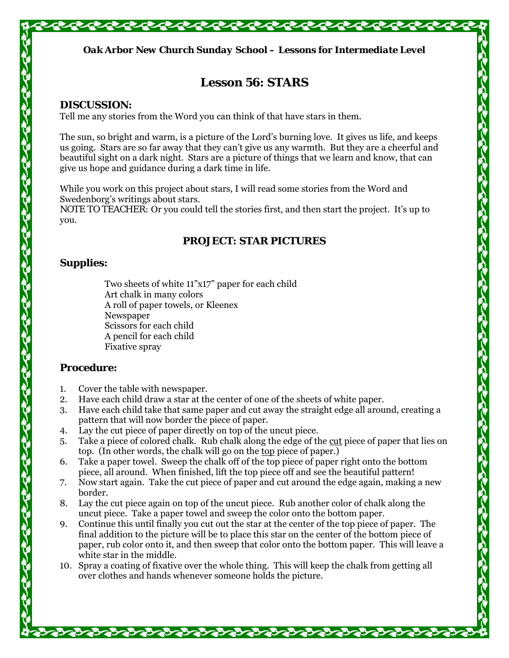

# **Lesson 56: STARS**

#### **DISCUSSION:**

Tell me any stories from the Word you can think of that have stars in them.

The sun, so bright and warm, is a picture of the Lord's burning love. It gives us life, and keeps us going. Stars are so far away that they can't give us any warmth. But they are a cheerful and beautiful sight on a dark night. Stars are a picture of things that we learn and know, that can give us hope and guidance during a dark time in life.

While you work on this project about stars, I will read some stories from the Word and Swedenborg's writings about stars.

*NOTE TO TEACHER:* Or you could tell the stories first, and then start the project. It's up to you.

## **PROJECT: STAR PICTURES**

## **Supplies:**

Two sheets of white 11"x17" paper for each child Art chalk in many colors A roll of paper towels, or Kleenex Newspaper Scissors for each child A pencil for each child Fixative spray

## **Procedure:**

- 1. Cover the table with newspaper.
- 2. Have each child draw a star at the center of one of the sheets of white paper.
- 3. Have each child take that same paper and cut away the straight edge all around, creating a pattern that will now border the piece of paper.
- 4. Lay the cut piece of paper directly on top of the uncut piece.
- 5. Take a piece of colored chalk. Rub chalk along the edge of the cut piece of paper that lies on top. (In other words, the chalk will go on the top piece of paper.)
- 6. Take a paper towel. Sweep the chalk off of the top piece of paper right onto the bottom piece, all around. When finished, lift the top piece off and see the beautiful pattern!
- 7. Now start again. Take the cut piece of paper and cut around the edge again, making a new border.
- 8. Lay the cut piece again on top of the uncut piece. Rub another color of chalk along the uncut piece. Take a paper towel and sweep the color onto the bottom paper.
- 9. Continue this until finally you cut out the star at the center of the top piece of paper. The final addition to the picture will be to place this star on the center of the bottom piece of paper, rub color onto it, and then sweep that color onto the bottom paper. This will leave a white star in the middle.
- 10. Spray a coating of fixative over the whole thing. This will keep the chalk from getting all over clothes and hands whenever someone holds the picture.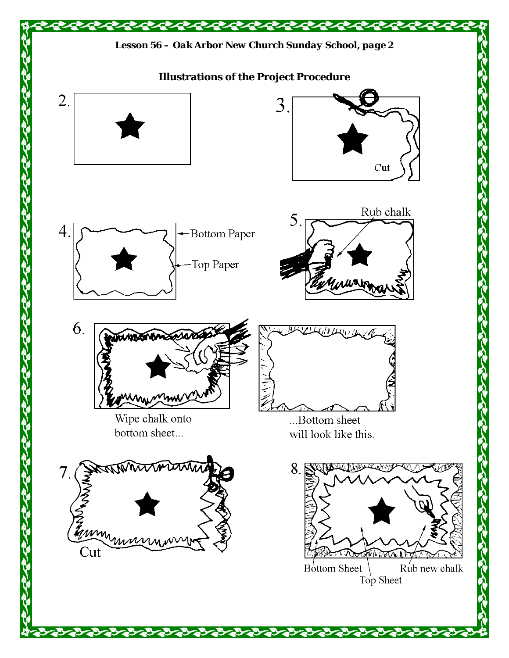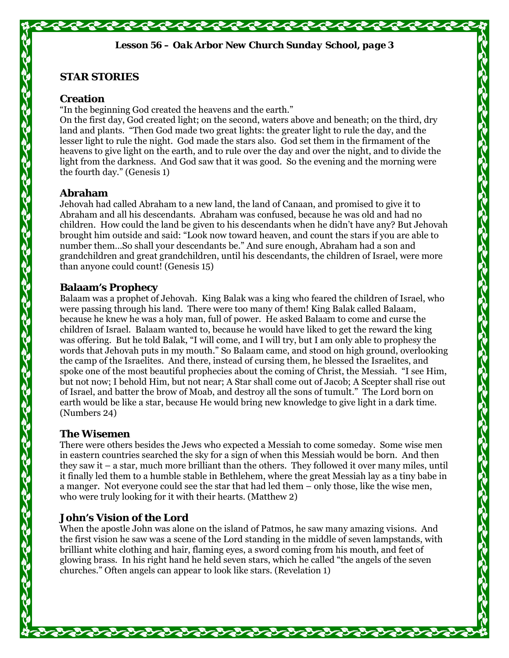## **STAR STORIES**

#### **Creation**

"In the beginning God created the heavens and the earth."

On the first day, God created light; on the second, waters above and beneath; on the third, dry land and plants. "Then God made two great lights: the greater light to rule the day, and the lesser light to rule the night. God made the stars also. God set them in the firmament of the heavens to give light on the earth, and to rule over the day and over the night, and to divide the light from the darkness. And God saw that it was good. So the evening and the morning were the fourth day." (Genesis 1)

#### **Abraham**

Jehovah had called Abraham to a new land, the land of Canaan, and promised to give it to Abraham and all his descendants. Abraham was confused, because he was old and had no children. How could the land be given to his descendants when he didn't have any? But Jehovah brought him outside and said: "Look now toward heaven, and count the stars if you are able to number them…So shall your descendants be." And sure enough, Abraham had a son and grandchildren and great grandchildren, until his descendants, the children of Israel, were more than anyone could count! (Genesis 15)

#### **Balaam's Prophecy**

Balaam was a prophet of Jehovah. King Balak was a king who feared the children of Israel, who were passing through his land. There were too many of them! King Balak called Balaam, because he knew he was a holy man, full of power. He asked Balaam to come and curse the children of Israel. Balaam wanted to, because he would have liked to get the reward the king was offering. But he told Balak, "I will come, and I will try, but I am only able to prophesy the words that Jehovah puts in my mouth." So Balaam came, and stood on high ground, overlooking the camp of the Israelites. And there, instead of cursing them, he blessed the Israelites, and spoke one of the most beautiful prophecies about the coming of Christ, the Messiah. "I see Him, but not now; I behold Him, but not near; A Star shall come out of Jacob; A Scepter shall rise out of Israel, and batter the brow of Moab, and destroy all the sons of tumult." The Lord born on earth would be like a star, because He would bring new knowledge to give light in a dark time. (Numbers 24)

## **The Wisemen**

There were others besides the Jews who expected a Messiah to come someday. Some wise men in eastern countries searched the sky for a sign of when this Messiah would be born. And then they saw it – a star, much more brilliant than the others. They followed it over many miles, until it finally led them to a humble stable in Bethlehem, where the great Messiah lay as a tiny babe in a manger. Not everyone could see the star that had led them – only those, like the wise men, who were truly looking for it with their hearts. (Matthew 2)

## **John's Vision of the Lord**

When the apostle John was alone on the island of Patmos, he saw many amazing visions. And the first vision he saw was a scene of the Lord standing in the middle of seven lampstands, with brilliant white clothing and hair, flaming eyes, a sword coming from his mouth, and feet of glowing brass. In his right hand he held seven stars, which he called "the angels of the seven churches." Often angels can appear to look like stars. (Revelation 1)